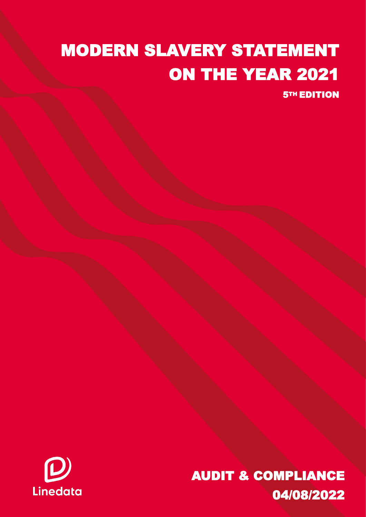## MODERN SLAVERY STATEMENT ON THE YEAR 2021

**5TH EDITION** 



Modern Slavery Act Statement 2021 I 1 AUDIT & COMPLIANCE 04/08/2022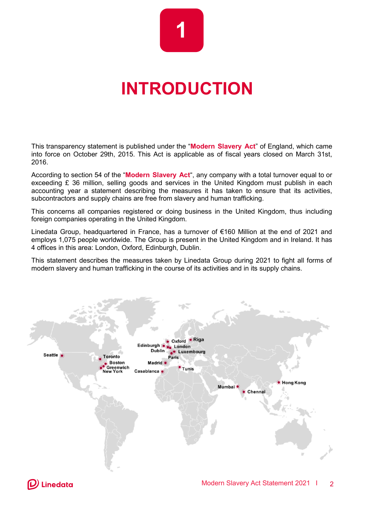# **1**

### **INTRODUCTION**

This transparency statement is published under the "**Modern Slavery Act**" of England, which came into force on October 29th, 2015. This Act is applicable as of fiscal years closed on March 31st, 2016.

According to section 54 of the "**Modern Slavery Act**", any company with a total turnover equal to or exceeding  $E$  36 million, selling goods and services in the United Kingdom must publish in each accounting year a statement describing the measures it has taken to ensure that its activities, subcontractors and supply chains are free from slavery and human trafficking.

This concerns all companies registered or doing business in the United Kingdom, thus including foreign companies operating in the United Kingdom.

Linedata Group, headquartered in France, has a turnover of €160 Million at the end of 2021 and employs 1,075 people worldwide. The Group is present in the United Kingdom and in Ireland. It has 4 offices in this area: London, Oxford, Edinburgh, Dublin.

This statement describes the measures taken by Linedata Group during 2021 to fight all forms of modern slavery and human trafficking in the course of its activities and in its supply chains.

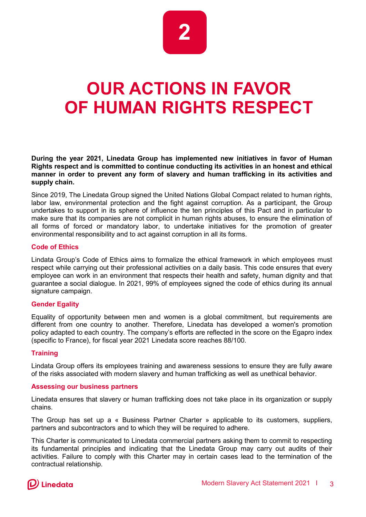

### **OUR ACTIONS IN FAVOR OF HUMAN RIGHTS RESPECT**

**During the year 2021, Linedata Group has implemented new initiatives in favor of Human Rights respect and is committed to continue conducting its activities in an honest and ethical manner in order to prevent any form of slavery and human trafficking in its activities and supply chain.**

Since 2019, The Linedata Group signed the United Nations Global Compact related to human rights, labor law, environmental protection and the fight against corruption. As a participant, the Group undertakes to support in its sphere of influence the ten principles of this Pact and in particular to make sure that its companies are not complicit in human rights abuses, to ensure the elimination of all forms of forced or mandatory labor, to undertake initiatives for the promotion of greater environmental responsibility and to act against corruption in all its forms.

#### **Code of Ethics**

Lindata Group's Code of Ethics aims to formalize the ethical framework in which employees must respect while carrying out their professional activities on a daily basis. This code ensures that every employee can work in an environment that respects their health and safety, human dignity and that guarantee a social dialogue. In 2021, 99% of employees signed the code of ethics during its annual signature campaign.

#### **Gender Egality**

Equality of opportunity between men and women is a global commitment, but requirements are different from one country to another. Therefore, Linedata has developed a women's promotion policy adapted to each country. The company's efforts are reflected in the score on the Egapro index (specific to France), for fiscal year 2021 Linedata score reaches 88/100.

#### **Training**

Lindata Group offers its employees training and awareness sessions to ensure they are fully aware of the risks associated with modern slavery and human trafficking as well as unethical behavior.

#### **Assessing our business partners**

Linedata ensures that slavery or human trafficking does not take place in its organization or supply chains.

The Group has set up a « Business Partner Charter » applicable to its customers, suppliers, partners and subcontractors and to which they will be required to adhere.

This Charter is communicated to Linedata commercial partners asking them to commit to respecting its fundamental principles and indicating that the Linedata Group may carry out audits of their activities. Failure to comply with this Charter may in certain cases lead to the termination of the contractual relationship.